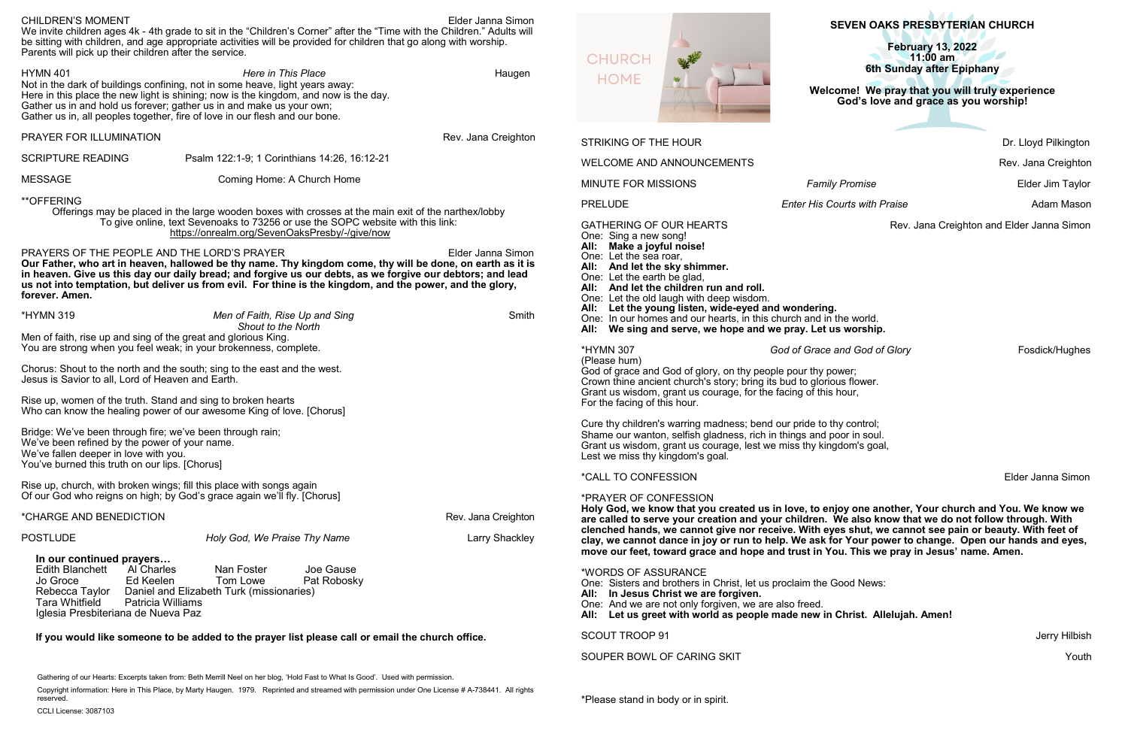# **SEVEN OAKS PRESBYTERIAN CHURCH**

### **Welcome!****We pray that you will truly experience God's love and grace as you worship!**

\*Please stand in body or in spirit.

| <b>CHILDREN'S MOMENT</b><br>Elder Janna Simon<br>We invite children ages 4k - 4th grade to sit in the "Children's Corner" after the "Time with the Children." Adults will<br>be sitting with children, and age appropriate activities will be provided for children that go along with worship.<br>Parents will pick up their children after the service.                                                                   |                                                                                                                                                                                                                                                                                      |                                                                                                                                                                                                               | <b>SEVEN OAKS PRESBYTERIAN CHURCH</b>                                                                                                                                                                                                                                                                         |                                                                             |                      |
|-----------------------------------------------------------------------------------------------------------------------------------------------------------------------------------------------------------------------------------------------------------------------------------------------------------------------------------------------------------------------------------------------------------------------------|--------------------------------------------------------------------------------------------------------------------------------------------------------------------------------------------------------------------------------------------------------------------------------------|---------------------------------------------------------------------------------------------------------------------------------------------------------------------------------------------------------------|---------------------------------------------------------------------------------------------------------------------------------------------------------------------------------------------------------------------------------------------------------------------------------------------------------------|-----------------------------------------------------------------------------|----------------------|
|                                                                                                                                                                                                                                                                                                                                                                                                                             |                                                                                                                                                                                                                                                                                      |                                                                                                                                                                                                               |                                                                                                                                                                                                                                                                                                               | <b>February 13, 2022</b>                                                    |                      |
|                                                                                                                                                                                                                                                                                                                                                                                                                             |                                                                                                                                                                                                                                                                                      |                                                                                                                                                                                                               | WA<br><b>CHURCH</b>                                                                                                                                                                                                                                                                                           | $11:00$ am<br>6th Sunday after Epiphany                                     |                      |
| <b>HYMN 401</b><br><b>Here in This Place</b><br>Haugen<br>Not in the dark of buildings confining, not in some heave, light years away:<br>Here in this place the new light is shining; now is the kingdom, and now is the day.<br>Gather us in and hold us forever; gather us in and make us your own;<br>Gather us in, all peoples together, fire of love in our flesh and our bone.                                       |                                                                                                                                                                                                                                                                                      | <b>HOME</b>                                                                                                                                                                                                   | Welcome! We pray that you will truly experience<br>God's love and grace as you worship!                                                                                                                                                                                                                       |                                                                             |                      |
| PRAYER FOR ILLUMINATION                                                                                                                                                                                                                                                                                                                                                                                                     |                                                                                                                                                                                                                                                                                      | Rev. Jana Creighton                                                                                                                                                                                           | <b>STRIKING OF THE HOUR</b>                                                                                                                                                                                                                                                                                   |                                                                             | Dr. Lloyd Pilkington |
| <b>SCRIPTURE READING</b>                                                                                                                                                                                                                                                                                                                                                                                                    | Psalm 122:1-9; 1 Corinthians 14:26, 16:12-21                                                                                                                                                                                                                                         |                                                                                                                                                                                                               | <b>WELCOME AND ANNOUNCEMENTS</b>                                                                                                                                                                                                                                                                              |                                                                             | Rev. Jana Creighton  |
| <b>MESSAGE</b>                                                                                                                                                                                                                                                                                                                                                                                                              | Coming Home: A Church Home                                                                                                                                                                                                                                                           |                                                                                                                                                                                                               | <b>MINUTE FOR MISSIONS</b>                                                                                                                                                                                                                                                                                    | <b>Family Promise</b>                                                       | Elder Jim Taylor     |
| **OFFERING                                                                                                                                                                                                                                                                                                                                                                                                                  |                                                                                                                                                                                                                                                                                      |                                                                                                                                                                                                               | <b>PRELUDE</b>                                                                                                                                                                                                                                                                                                | <b>Enter His Courts with Praise</b>                                         | <b>Adam Mason</b>    |
| Offerings may be placed in the large wooden boxes with crosses at the main exit of the narthex/lobby<br>To give online, text Sevenoaks to 73256 or use the SOPC website with this link:<br>https://onrealm.org/SevenOaksPresby/-/give/now                                                                                                                                                                                   |                                                                                                                                                                                                                                                                                      |                                                                                                                                                                                                               | <b>GATHERING OF OUR HEARTS</b><br>Rev. Jana Creighton and Elder Janna Simon<br>One: Sing a new song!<br>All:                                                                                                                                                                                                  |                                                                             |                      |
| PRAYERS OF THE PEOPLE AND THE LORD'S PRAYER<br>Elder Janna Simon<br>Our Father, who art in heaven, hallowed be thy name. Thy kingdom come, thy will be done, on earth as it is<br>in heaven. Give us this day our daily bread; and forgive us our debts, as we forgive our debtors; and lead<br>us not into temptation, but deliver us from evil. For thine is the kingdom, and the power, and the glory,<br>forever. Amen. |                                                                                                                                                                                                                                                                                      |                                                                                                                                                                                                               | Make a joyful noise!<br>One: Let the sea roar,<br>All: And let the sky shimmer.<br>One: Let the earth be glad,<br>And let the children run and roll.<br>All:<br>One: Let the old laugh with deep wisdom.                                                                                                      |                                                                             |                      |
| <b>*HYMN 319</b>                                                                                                                                                                                                                                                                                                                                                                                                            | Men of Faith, Rise Up and Sing<br>Shout to the North                                                                                                                                                                                                                                 | Smith                                                                                                                                                                                                         | Let the young listen, wide-eyed and wondering.<br>One: In our homes and our hearts, in this church and in the world.<br>All: We sing and serve, we hope and we pray. Let us worship.                                                                                                                          |                                                                             |                      |
| Jesus is Savior to all, Lord of Heaven and Earth.                                                                                                                                                                                                                                                                                                                                                                           | Men of faith, rise up and sing of the great and glorious King.<br>You are strong when you feel weak; in your brokenness, complete.<br>Chorus: Shout to the north and the south; sing to the east and the west.                                                                       |                                                                                                                                                                                                               | *HYMN 307<br>(Please hum)<br>God of grace and God of glory, on thy people pour thy power;<br>Crown thine ancient church's story; bring its bud to glorious flower.                                                                                                                                            | God of Grace and God of Glory                                               | Fosdick/Hughes       |
|                                                                                                                                                                                                                                                                                                                                                                                                                             | Rise up, women of the truth. Stand and sing to broken hearts<br>Who can know the healing power of our awesome King of love. [Chorus]                                                                                                                                                 |                                                                                                                                                                                                               | Grant us wisdom, grant us courage, for the facing of this hour,<br>For the facing of this hour.                                                                                                                                                                                                               |                                                                             |                      |
| Bridge: We've been through fire; we've been through rain;<br>We've been refined by the power of your name.<br>We've fallen deeper in love with you.<br>You've burned this truth on our lips. [Chorus]                                                                                                                                                                                                                       |                                                                                                                                                                                                                                                                                      |                                                                                                                                                                                                               | Cure thy children's warring madness; bend our pride to thy control;<br>Shame our wanton, selfish gladness, rich in things and poor in soul.<br>Grant us wisdom, grant us courage, lest we miss thy kingdom's goal,<br>Lest we miss thy kingdom's goal.                                                        |                                                                             |                      |
|                                                                                                                                                                                                                                                                                                                                                                                                                             |                                                                                                                                                                                                                                                                                      |                                                                                                                                                                                                               | <i><b>*CALL TO CONFESSION</b></i>                                                                                                                                                                                                                                                                             |                                                                             | Elder Janna Simon    |
|                                                                                                                                                                                                                                                                                                                                                                                                                             | Rise up, church, with broken wings; fill this place with songs again<br>Of our God who reigns on high; by God's grace again we'll fly. [Chorus]                                                                                                                                      |                                                                                                                                                                                                               | *PRAYER OF CONFESSION                                                                                                                                                                                                                                                                                         |                                                                             |                      |
| *CHARGE AND BENEDICTION<br>Rev. Jana Creighton                                                                                                                                                                                                                                                                                                                                                                              |                                                                                                                                                                                                                                                                                      | Holy God, we know that you created us in love, to enjoy one another, Your church and You. We know we<br>are called to serve your creation and your children. We also know that we do not follow through. With |                                                                                                                                                                                                                                                                                                               |                                                                             |                      |
| <b>POSTLUDE</b>                                                                                                                                                                                                                                                                                                                                                                                                             | Holy God, We Praise Thy Name                                                                                                                                                                                                                                                         | <b>Larry Shackley</b>                                                                                                                                                                                         | clenched hands, we cannot give nor receive. With eyes shut, we cannot see pain or beauty. With feet of<br>clay, we cannot dance in joy or run to help. We ask for Your power to change. Open our hands and eyes,<br>move our feet, toward grace and hope and trust in You. This we pray in Jesus' name. Amen. |                                                                             |                      |
| In our continued prayers<br>Edith Blanchett Al Charles<br>Jo Groce<br>Ed Keelen<br>Tara Whitfield<br>Iglesia Presbiteriana de Nueva Paz                                                                                                                                                                                                                                                                                     | Joe Gause<br>Nan Foster<br>Tom Lowe<br>Pat Robosky<br>Rebecca Taylor Daniel and Elizabeth Turk (missionaries)<br><b>Patricia Williams</b>                                                                                                                                            |                                                                                                                                                                                                               | *WORDS OF ASSURANCE<br>One: Sisters and brothers in Christ, let us proclaim the Good News:<br>All: In Jesus Christ we are forgiven.<br>One: And we are not only forgiven, we are also freed.                                                                                                                  | All: Let us greet with world as people made new in Christ. Allelujah. Amen! |                      |
| If you would like someone to be added to the prayer list please call or email the church office.                                                                                                                                                                                                                                                                                                                            |                                                                                                                                                                                                                                                                                      |                                                                                                                                                                                                               | <b>SCOUT TROOP 91</b>                                                                                                                                                                                                                                                                                         |                                                                             | Jerry Hilbish        |
|                                                                                                                                                                                                                                                                                                                                                                                                                             |                                                                                                                                                                                                                                                                                      |                                                                                                                                                                                                               | SOUPER BOWL OF CARING SKIT                                                                                                                                                                                                                                                                                    |                                                                             | Youth                |
|                                                                                                                                                                                                                                                                                                                                                                                                                             | Gathering of our Hearts: Excerpts taken from: Beth Merrill Neel on her blog, 'Hold Fast to What Is Good'. Used with permission.<br>Copyright information: Here in This Place, by Marty Haugen. 1979. Reprinted and streamed with permission under One License # A-738441. All rights |                                                                                                                                                                                                               |                                                                                                                                                                                                                                                                                                               |                                                                             |                      |

reserved.

CCLI License: 3087103